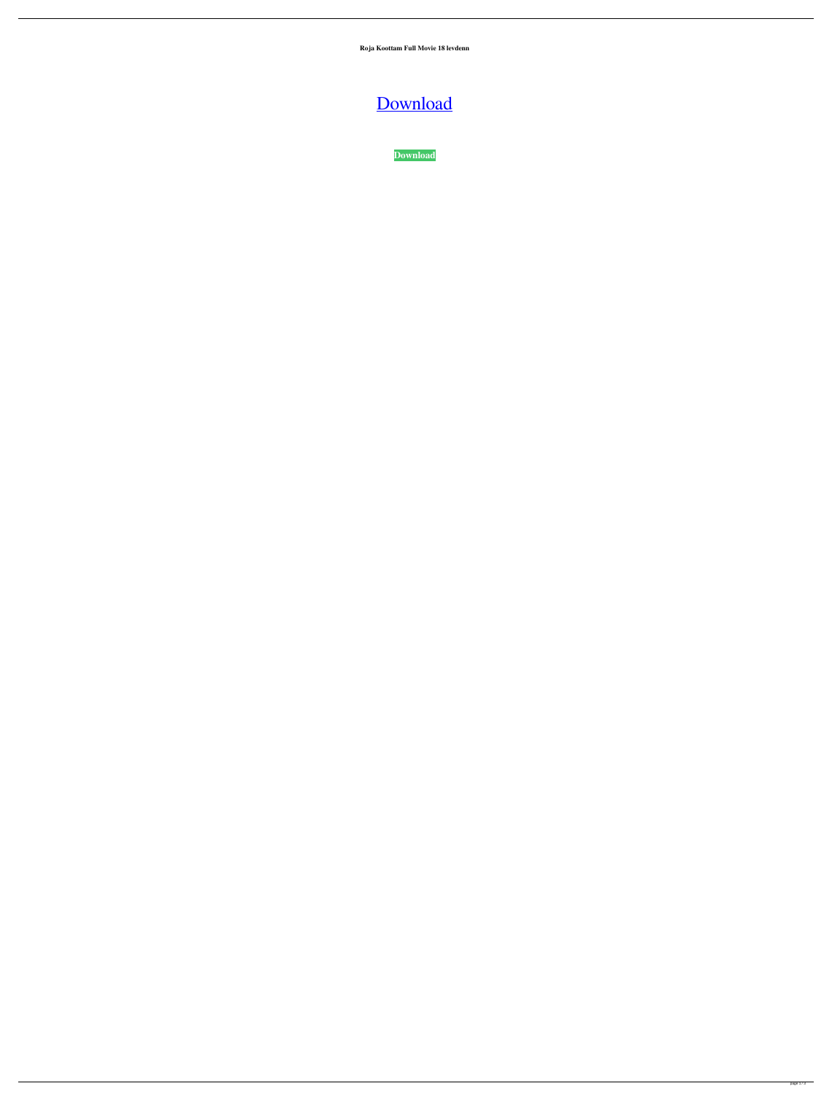**Roja Koottam Full Movie 18 levdenn**

[Download](http://evacdir.com/betting/bypassing/guzzled/hurd.Um9qYSBLb290dGFtIEZ1bGwgTW92aWUgMTgUm9.scrimped.niap/ZG93bmxvYWR8aUI3TVdneGRYeDhNVFkxTWpRMk16QTFNSHg4TWpVM05IeDhLRTBwSUhKbFlXUXRZbXh2WnlCYlJtRnpkQ0JIUlU1ZA)

**[Download](http://evacdir.com/betting/bypassing/guzzled/hurd.Um9qYSBLb290dGFtIEZ1bGwgTW92aWUgMTgUm9.scrimped.niap/ZG93bmxvYWR8aUI3TVdneGRYeDhNVFkxTWpRMk16QTFNSHg4TWpVM05IeDhLRTBwSUhKbFlXUXRZbXh2WnlCYlJtRnpkQ0JIUlU1ZA)**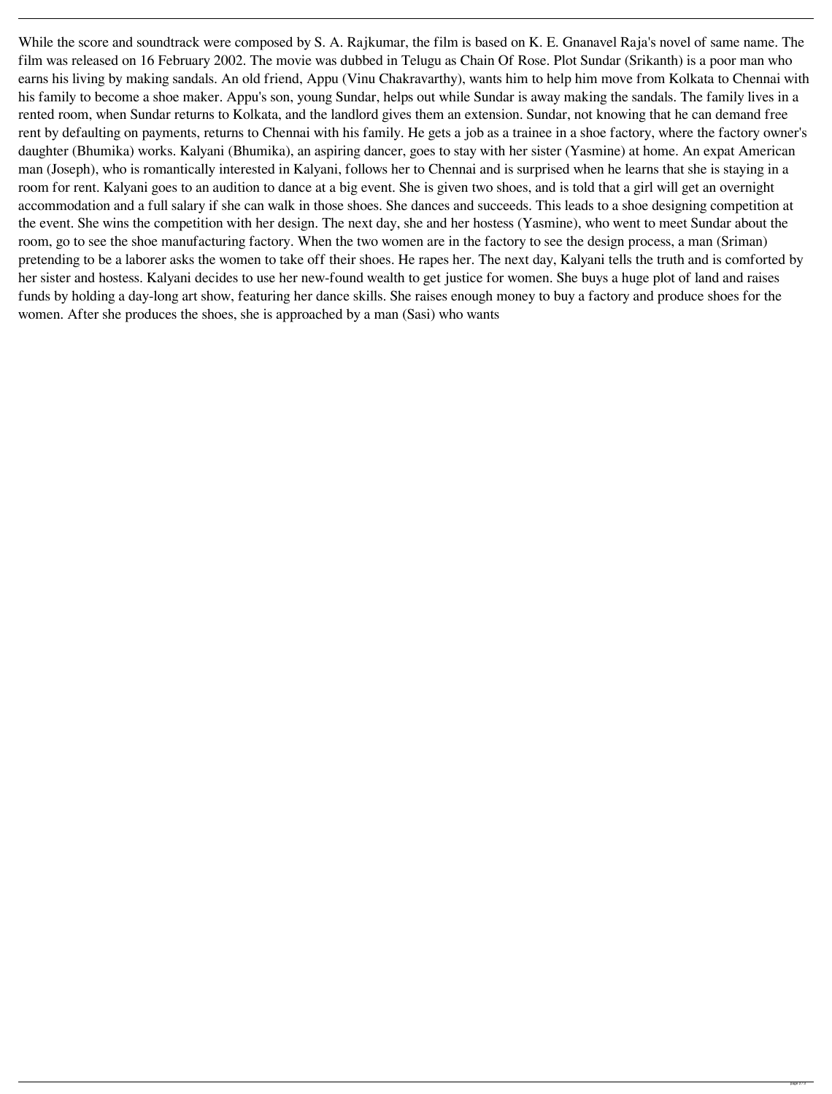While the score and soundtrack were composed by S. A. Rajkumar, the film is based on K. E. Gnanavel Raja's novel of same name. The film was released on 16 February 2002. The movie was dubbed in Telugu as Chain Of Rose. Plot Sundar (Srikanth) is a poor man who earns his living by making sandals. An old friend, Appu (Vinu Chakravarthy), wants him to help him move from Kolkata to Chennai with his family to become a shoe maker. Appu's son, young Sundar, helps out while Sundar is away making the sandals. The family lives in a rented room, when Sundar returns to Kolkata, and the landlord gives them an extension. Sundar, not knowing that he can demand free rent by defaulting on payments, returns to Chennai with his family. He gets a job as a trainee in a shoe factory, where the factory owner's daughter (Bhumika) works. Kalyani (Bhumika), an aspiring dancer, goes to stay with her sister (Yasmine) at home. An expat American man (Joseph), who is romantically interested in Kalyani, follows her to Chennai and is surprised when he learns that she is staying in a room for rent. Kalyani goes to an audition to dance at a big event. She is given two shoes, and is told that a girl will get an overnight accommodation and a full salary if she can walk in those shoes. She dances and succeeds. This leads to a shoe designing competition at the event. She wins the competition with her design. The next day, she and her hostess (Yasmine), who went to meet Sundar about the room, go to see the shoe manufacturing factory. When the two women are in the factory to see the design process, a man (Sriman) pretending to be a laborer asks the women to take off their shoes. He rapes her. The next day, Kalyani tells the truth and is comforted by her sister and hostess. Kalyani decides to use her new-found wealth to get justice for women. She buys a huge plot of land and raises funds by holding a day-long art show, featuring her dance skills. She raises enough money to buy a factory and produce shoes for the women. After she produces the shoes, she is approached by a man (Sasi) who wants